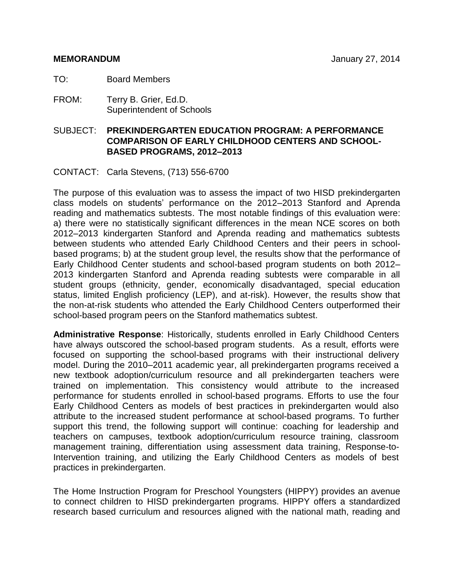TO: Board Members

FROM: Terry B. Grier, Ed.D. Superintendent of Schools

## SUBJECT: **PREKINDERGARTEN EDUCATION PROGRAM: A PERFORMANCE COMPARISON OF EARLY CHILDHOOD CENTERS AND SCHOOL-BASED PROGRAMS, 2012–2013**

CONTACT: Carla Stevens, (713) 556-6700

The purpose of this evaluation was to assess the impact of two HISD prekindergarten class models on students' performance on the 2012–2013 Stanford and Aprenda reading and mathematics subtests. The most notable findings of this evaluation were: a) there were no statistically significant differences in the mean NCE scores on both 2012–2013 kindergarten Stanford and Aprenda reading and mathematics subtests between students who attended Early Childhood Centers and their peers in schoolbased programs; b) at the student group level, the results show that the performance of Early Childhood Center students and school-based program students on both 2012– 2013 kindergarten Stanford and Aprenda reading subtests were comparable in all student groups (ethnicity, gender, economically disadvantaged, special education status, limited English proficiency (LEP), and at-risk). However, the results show that the non-at-risk students who attended the Early Childhood Centers outperformed their school-based program peers on the Stanford mathematics subtest.

**Administrative Response**: Historically, students enrolled in Early Childhood Centers have always outscored the school-based program students. As a result, efforts were focused on supporting the school-based programs with their instructional delivery model. During the 2010–2011 academic year, all prekindergarten programs received a new textbook adoption/curriculum resource and all prekindergarten teachers were trained on implementation. This consistency would attribute to the increased performance for students enrolled in school-based programs. Efforts to use the four Early Childhood Centers as models of best practices in prekindergarten would also attribute to the increased student performance at school-based programs. To further support this trend, the following support will continue: coaching for leadership and teachers on campuses, textbook adoption/curriculum resource training, classroom management training, differentiation using assessment data training, Response-to-Intervention training, and utilizing the Early Childhood Centers as models of best practices in prekindergarten.

The Home Instruction Program for Preschool Youngsters (HIPPY) provides an avenue to connect children to HISD prekindergarten programs. HIPPY offers a standardized research based curriculum and resources aligned with the national math, reading and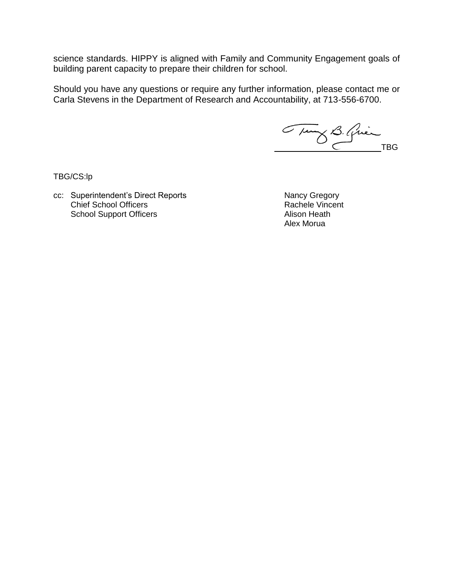science standards. HIPPY is aligned with Family and Community Engagement goals of building parent capacity to prepare their children for school.

Should you have any questions or require any further information, please contact me or Carla Stevens in the Department of Research and Accountability, at 713-556-6700.

Tung B. Grien

TBG/CS:lp

cc: Superintendent's Direct Reports Nancy Gregory Chief School Officers School Support Officers

Rachele Vincent Alison Heath Alex Morua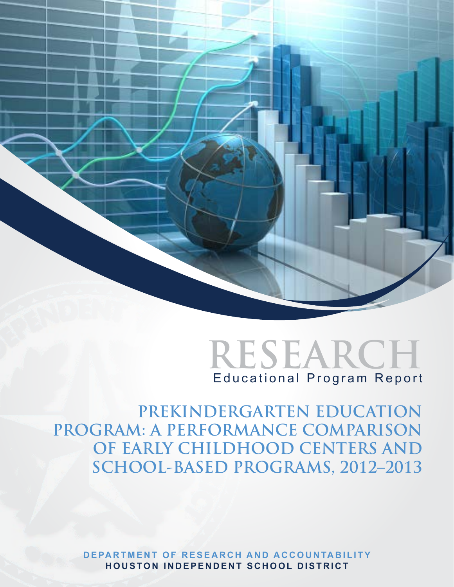



**PREKINDERGARTEN EDUCATION PROGRAM: A PERFORMANCE COMPARISON OF EARLY CHILDHOOD CENTERS AND SCHOOL-BASED PROGRAMS, 2012–2013**

**DEPARTMENT OF RESEARCH AND ACCOUNTABILITY H ouston I n d epen d ent S chool District**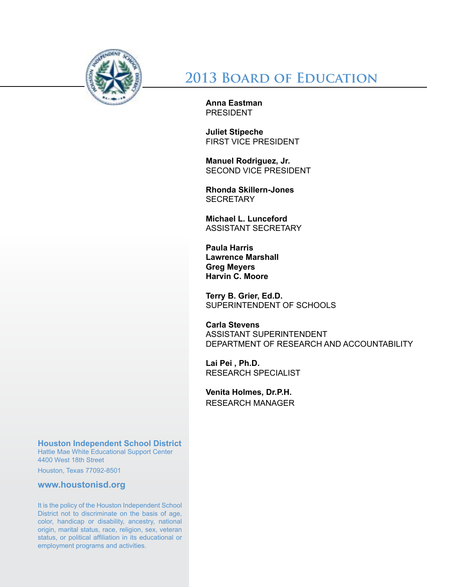

**2013 Board of Education**

**Anna Eastman PRESIDENT** 

**Juliet Stipeche** First Vice President

**Manuel Rodriguez, Jr.** Second Vice President

**Rhonda Skillern-Jones SECRETARY** 

**Michael L. Lunceford** Assistant Secretary

**Paula Harris Lawrence Marshall Greg Meyers Harvin C. Moore**

**Terry B. Grier, Ed.D.** SUPERINTENDENT OF SCHOOLS

**Carla Stevens** ASSISTANT SUPERINTENDENT DEPARTMENT OF RESEARCH AND ACCOUNTABILITY

**Lai Pei , Ph.D.** RESEARCH SPECIALIST

**Venita Holmes, Dr.P.H.** RESEARCH MANAGER

## **Houston Independent School District**

Hattie Mae White Educational Support Center 4400 West 18th Street

Houston, Texas 77092-8501

**www.houstonisd.org**

It is the policy of the Houston Independent School District not to discriminate on the basis of age, color, handicap or disability, ancestry, national origin, marital status, race, religion, sex, veteran status, or political affiliation in its educational or employment programs and activities.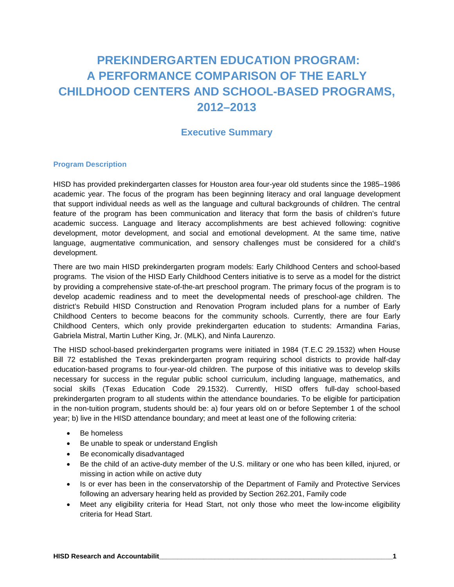# **PREKINDERGARTEN EDUCATION PROGRAM: A PERFORMANCE COMPARISON OF THE EARLY CHILDHOOD CENTERS AND SCHOOL-BASED PROGRAMS, 2012–2013**

## **Executive Summary**

#### **Program Description**

HISD has provided prekindergarten classes for Houston area four-year old students since the 1985–1986 academic year. The focus of the program has been beginning literacy and oral language development that support individual needs as well as the language and cultural backgrounds of children. The central feature of the program has been communication and literacy that form the basis of children's future academic success. Language and literacy accomplishments are best achieved following: cognitive development, motor development, and social and emotional development. At the same time, native language, augmentative communication, and sensory challenges must be considered for a child's development.

There are two main HISD prekindergarten program models: Early Childhood Centers and school-based programs. The vision of the HISD Early Childhood Centers initiative is to serve as a model for the district by providing a comprehensive state-of-the-art preschool program. The primary focus of the program is to develop academic readiness and to meet the developmental needs of preschool-age children. The district's Rebuild HISD Construction and Renovation Program included plans for a number of Early Childhood Centers to become beacons for the community schools. Currently, there are four Early Childhood Centers, which only provide prekindergarten education to students: Armandina Farias, Gabriela Mistral, Martin Luther King, Jr. (MLK), and Ninfa Laurenzo.

The HISD school-based prekindergarten programs were initiated in 1984 (T.E.C 29.1532) when House Bill 72 established the Texas prekindergarten program requiring school districts to provide half-day education-based programs to four-year-old children. The purpose of this initiative was to develop skills necessary for success in the regular public school curriculum, including language, mathematics, and social skills (Texas Education Code 29.1532). Currently, HISD offers full-day school-based prekindergarten program to all students within the attendance boundaries. To be eligible for participation in the non-tuition program, students should be: a) four years old on or before September 1 of the school year; b) live in the HISD attendance boundary; and meet at least one of the following criteria:

- Be homeless
- Be unable to speak or understand English
- Be economically disadvantaged
- Be the child of an active-duty member of the U.S. military or one who has been killed, injured, or missing in action while on active duty
- Is or ever has been in the conservatorship of the Department of Family and Protective Services following an adversary hearing held as provided by Section 262.201, Family code
- Meet any eligibility criteria for Head Start, not only those who meet the low-income eligibility criteria for Head Start.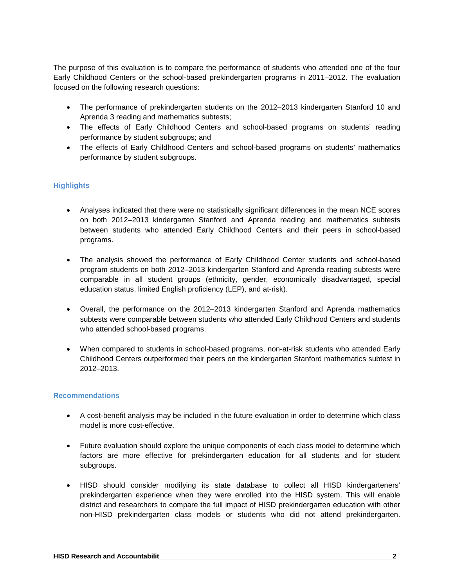The purpose of this evaluation is to compare the performance of students who attended one of the four Early Childhood Centers or the school-based prekindergarten programs in 2011–2012. The evaluation focused on the following research questions:

- The performance of prekindergarten students on the 2012–2013 kindergarten Stanford 10 and Aprenda 3 reading and mathematics subtests;
- The effects of Early Childhood Centers and school-based programs on students' reading performance by student subgroups; and
- The effects of Early Childhood Centers and school-based programs on students' mathematics performance by student subgroups.

#### **Highlights**

- Analyses indicated that there were no statistically significant differences in the mean NCE scores on both 2012–2013 kindergarten Stanford and Aprenda reading and mathematics subtests between students who attended Early Childhood Centers and their peers in school-based programs.
- The analysis showed the performance of Early Childhood Center students and school-based program students on both 2012–2013 kindergarten Stanford and Aprenda reading subtests were comparable in all student groups (ethnicity, gender, economically disadvantaged, special education status, limited English proficiency (LEP), and at-risk).
- Overall, the performance on the 2012–2013 kindergarten Stanford and Aprenda mathematics subtests were comparable between students who attended Early Childhood Centers and students who attended school-based programs.
- When compared to students in school-based programs, non-at-risk students who attended Early Childhood Centers outperformed their peers on the kindergarten Stanford mathematics subtest in 2012–2013.

#### **Recommendations**

- A cost-benefit analysis may be included in the future evaluation in order to determine which class model is more cost-effective.
- Future evaluation should explore the unique components of each class model to determine which factors are more effective for prekindergarten education for all students and for student subgroups.
- HISD should consider modifying its state database to collect all HISD kindergarteners' prekindergarten experience when they were enrolled into the HISD system. This will enable district and researchers to compare the full impact of HISD prekindergarten education with other non-HISD prekindergarten class models or students who did not attend prekindergarten.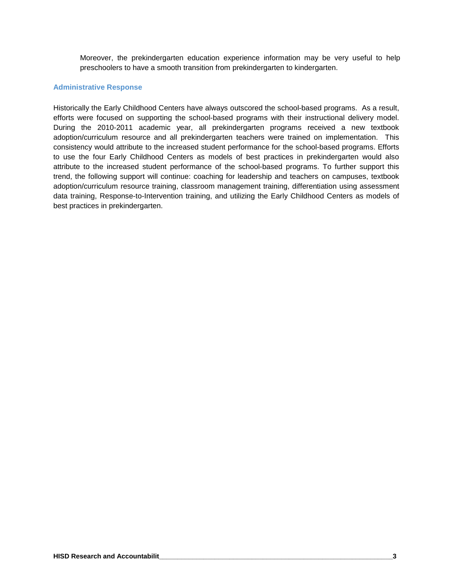Moreover, the prekindergarten education experience information may be very useful to help preschoolers to have a smooth transition from prekindergarten to kindergarten.

#### **Administrative Response**

Historically the Early Childhood Centers have always outscored the school-based programs. As a result, efforts were focused on supporting the school-based programs with their instructional delivery model. During the 2010-2011 academic year, all prekindergarten programs received a new textbook adoption/curriculum resource and all prekindergarten teachers were trained on implementation. This consistency would attribute to the increased student performance for the school-based programs. Efforts to use the four Early Childhood Centers as models of best practices in prekindergarten would also attribute to the increased student performance of the school-based programs. To further support this trend, the following support will continue: coaching for leadership and teachers on campuses, textbook adoption/curriculum resource training, classroom management training, differentiation using assessment data training, Response-to-Intervention training, and utilizing the Early Childhood Centers as models of best practices in prekindergarten.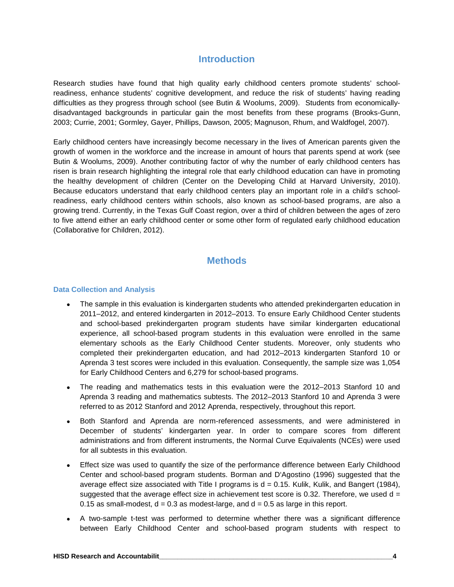## **Introduction**

Research studies have found that high quality early childhood centers promote students' schoolreadiness, enhance students' cognitive development, and reduce the risk of students' having reading difficulties as they progress through school (see Butin & Woolums, 2009). Students from economicallydisadvantaged backgrounds in particular gain the most benefits from these programs (Brooks-Gunn, 2003; Currie, 2001; Gormley, Gayer, Phillips, Dawson, 2005; Magnuson, Rhum, and Waldfogel, 2007).

Early childhood centers have increasingly become necessary in the lives of American parents given the growth of women in the workforce and the increase in amount of hours that parents spend at work (see Butin & Woolums, 2009). Another contributing factor of why the number of early childhood centers has risen is brain research highlighting the integral role that early childhood education can have in promoting the healthy development of children (Center on the Developing Child at Harvard University, 2010). Because educators understand that early childhood centers play an important role in a child's schoolreadiness, early childhood centers within schools, also known as school-based programs, are also a growing trend. Currently, in the Texas Gulf Coast region, over a third of children between the ages of zero to five attend either an early childhood center or some other form of regulated early childhood education (Collaborative for Children, 2012).

## **Methods**

#### **Data Collection and Analysis**

- The sample in this evaluation is kindergarten students who attended prekindergarten education in 2011–2012, and entered kindergarten in 2012–2013. To ensure Early Childhood Center students and school-based prekindergarten program students have similar kindergarten educational experience, all school-based program students in this evaluation were enrolled in the same elementary schools as the Early Childhood Center students. Moreover, only students who completed their prekindergarten education, and had 2012–2013 kindergarten Stanford 10 or Aprenda 3 test scores were included in this evaluation. Consequently, the sample size was 1,054 for Early Childhood Centers and 6,279 for school-based programs.
- The reading and mathematics tests in this evaluation were the 2012–2013 Stanford 10 and Aprenda 3 reading and mathematics subtests. The 2012–2013 Stanford 10 and Aprenda 3 were referred to as 2012 Stanford and 2012 Aprenda, respectively, throughout this report.
- Both Stanford and Aprenda are norm-referenced assessments, and were administered in December of students' kindergarten year. In order to compare scores from different administrations and from different instruments, the Normal Curve Equivalents (NCEs) were used for all subtests in this evaluation.
- Effect size was used to quantify the size of the performance difference between Early Childhood Center and school-based program students. Borman and D'Agostino (1996) suggested that the average effect size associated with Title I programs is  $d = 0.15$ . Kulik, Kulik, and Bangert (1984), suggested that the average effect size in achievement test score is 0.32. Therefore, we used  $d =$ 0.15 as small-modest,  $d = 0.3$  as modest-large, and  $d = 0.5$  as large in this report.
- A two-sample t-test was performed to determine whether there was a significant difference between Early Childhood Center and school-based program students with respect to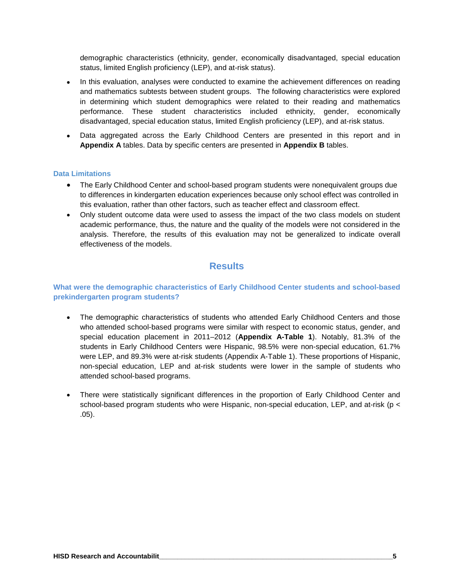demographic characteristics (ethnicity, gender, economically disadvantaged, special education status, limited English proficiency (LEP), and at-risk status).

- In this evaluation, analyses were conducted to examine the achievement differences on reading and mathematics subtests between student groups. The following characteristics were explored in determining which student demographics were related to their reading and mathematics performance. These student characteristics included ethnicity, gender, economically disadvantaged, special education status, limited English proficiency (LEP), and at-risk status.
- Data aggregated across the Early Childhood Centers are presented in this report and in **Appendix A** tables. Data by specific centers are presented in **Appendix B** tables.

#### **Data Limitations**

- The Early Childhood Center and school-based program students were nonequivalent groups due to differences in kindergarten education experiences because only school effect was controlled in this evaluation, rather than other factors, such as teacher effect and classroom effect.
- Only student outcome data were used to assess the impact of the two class models on student academic performance, thus, the nature and the quality of the models were not considered in the analysis. Therefore, the results of this evaluation may not be generalized to indicate overall effectiveness of the models.

## **Results**

## **What were the demographic characteristics of Early Childhood Center students and school-based prekindergarten program students?**

- The demographic characteristics of students who attended Early Childhood Centers and those who attended school-based programs were similar with respect to economic status, gender, and special education placement in 2011–2012 (**Appendix A-Table 1**). Notably, 81.3% of the students in Early Childhood Centers were Hispanic, 98.5% were non-special education, 61.7% were LEP, and 89.3% were at-risk students (Appendix A-Table 1). These proportions of Hispanic, non-special education, LEP and at-risk students were lower in the sample of students who attended school-based programs.
- There were statistically significant differences in the proportion of Early Childhood Center and school-based program students who were Hispanic, non-special education, LEP, and at-risk (p < .05).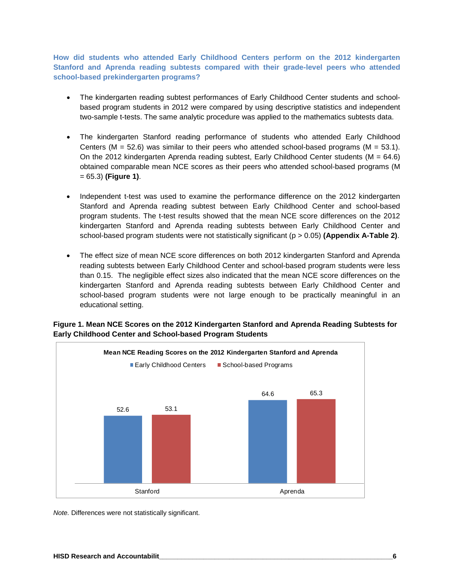**How did students who attended Early Childhood Centers perform on the 2012 kindergarten Stanford and Aprenda reading subtests compared with their grade-level peers who attended school-based prekindergarten programs?** 

- The kindergarten reading subtest performances of Early Childhood Center students and schoolbased program students in 2012 were compared by using descriptive statistics and independent two-sample t-tests. The same analytic procedure was applied to the mathematics subtests data.
- The kindergarten Stanford reading performance of students who attended Early Childhood Centers ( $M = 52.6$ ) was similar to their peers who attended school-based programs ( $M = 53.1$ ). On the 2012 kindergarten Aprenda reading subtest, Early Childhood Center students ( $M = 64.6$ ) obtained comparable mean NCE scores as their peers who attended school-based programs (M = 65.3) **(Figure 1)**.
- Independent t-test was used to examine the performance difference on the 2012 kindergarten Stanford and Aprenda reading subtest between Early Childhood Center and school-based program students. The t-test results showed that the mean NCE score differences on the 2012 kindergarten Stanford and Aprenda reading subtests between Early Childhood Center and school-based program students were not statistically significant (p > 0.05) **(Appendix A-Table 2)**.
- The effect size of mean NCE score differences on both 2012 kindergarten Stanford and Aprenda reading subtests between Early Childhood Center and school-based program students were less than 0.15. The negligible effect sizes also indicated that the mean NCE score differences on the kindergarten Stanford and Aprenda reading subtests between Early Childhood Center and school-based program students were not large enough to be practically meaningful in an educational setting.



**Figure 1. Mean NCE Scores on the 2012 Kindergarten Stanford and Aprenda Reading Subtests for Early Childhood Center and School-based Program Students**

*Note.* Differences were not statistically significant.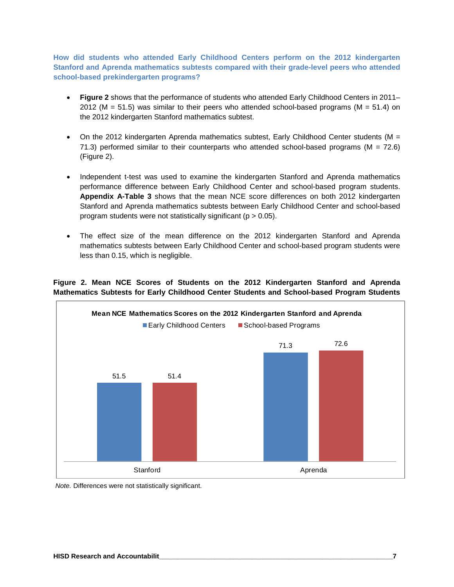**How did students who attended Early Childhood Centers perform on the 2012 kindergarten Stanford and Aprenda mathematics subtests compared with their grade-level peers who attended school-based prekindergarten programs?** 

- **Figure 2** shows that the performance of students who attended Early Childhood Centers in 2011– 2012 ( $M = 51.5$ ) was similar to their peers who attended school-based programs ( $M = 51.4$ ) on the 2012 kindergarten Stanford mathematics subtest.
- On the 2012 kindergarten Aprenda mathematics subtest, Early Childhood Center students ( $M =$ 71.3) performed similar to their counterparts who attended school-based programs ( $M = 72.6$ ) (Figure 2).
- Independent t-test was used to examine the kindergarten Stanford and Aprenda mathematics performance difference between Early Childhood Center and school-based program students. **Appendix A-Table 3** shows that the mean NCE score differences on both 2012 kindergarten Stanford and Aprenda mathematics subtests between Early Childhood Center and school-based program students were not statistically significant ( $p > 0.05$ ).
- The effect size of the mean difference on the 2012 kindergarten Stanford and Aprenda mathematics subtests between Early Childhood Center and school-based program students were less than 0.15, which is negligible.

## **Figure 2. Mean NCE Scores of Students on the 2012 Kindergarten Stanford and Aprenda Mathematics Subtests for Early Childhood Center Students and School-based Program Students**



*Note.* Differences were not statistically significant.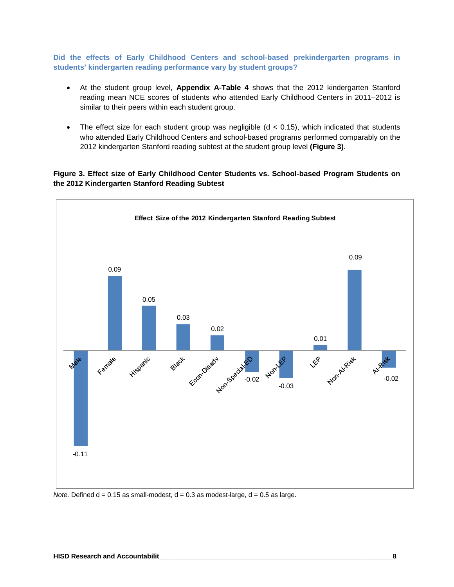**Did the effects of Early Childhood Centers and school-based prekindergarten programs in students' kindergarten reading performance vary by student groups?**

- At the student group level, **Appendix A-Table 4** shows that the 2012 kindergarten Stanford reading mean NCE scores of students who attended Early Childhood Centers in 2011–2012 is similar to their peers within each student group.
- The effect size for each student group was negligible  $(d < 0.15)$ , which indicated that students who attended Early Childhood Centers and school-based programs performed comparably on the 2012 kindergarten Stanford reading subtest at the student group level **(Figure 3)**.

## **Figure 3. Effect size of Early Childhood Center Students vs. School-based Program Students on the 2012 Kindergarten Stanford Reading Subtest**



*Note.* Defined  $d = 0.15$  as small-modest,  $d = 0.3$  as modest-large,  $d = 0.5$  as large.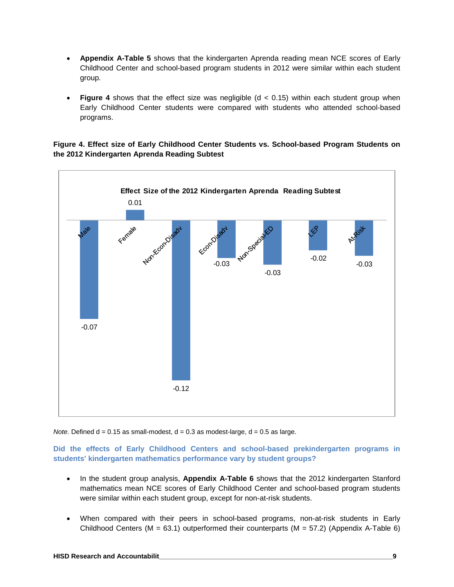- **Appendix A-Table 5** shows that the kindergarten Aprenda reading mean NCE scores of Early Childhood Center and school-based program students in 2012 were similar within each student group.
- **Figure 4** shows that the effect size was negligible (d < 0.15) within each student group when Early Childhood Center students were compared with students who attended school-based programs.

**Figure 4. Effect size of Early Childhood Center Students vs. School-based Program Students on the 2012 Kindergarten Aprenda Reading Subtest**



*Note.* Defined  $d = 0.15$  as small-modest,  $d = 0.3$  as modest-large,  $d = 0.5$  as large.

**Did the effects of Early Childhood Centers and school-based prekindergarten programs in students' kindergarten mathematics performance vary by student groups?**

- In the student group analysis, **Appendix A-Table 6** shows that the 2012 kindergarten Stanford mathematics mean NCE scores of Early Childhood Center and school-based program students were similar within each student group, except for non-at-risk students.
- When compared with their peers in school-based programs, non-at-risk students in Early Childhood Centers (M = 63.1) outperformed their counterparts (M = 57.2) (Appendix A-Table 6)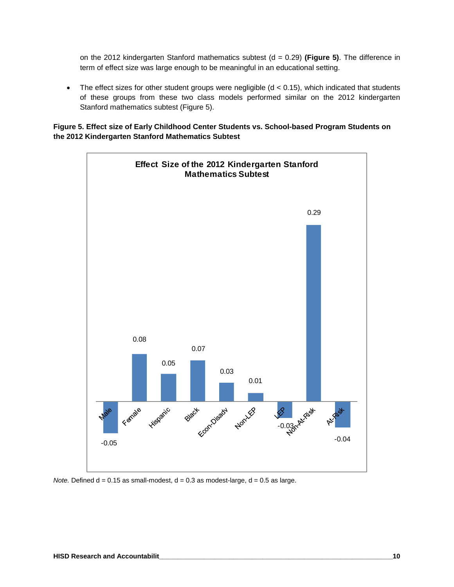on the 2012 kindergarten Stanford mathematics subtest (d = 0.29) **(Figure 5)**. The difference in term of effect size was large enough to be meaningful in an educational setting.

• The effect sizes for other student groups were negligible (d < 0.15), which indicated that students of these groups from these two class models performed similar on the 2012 kindergarten Stanford mathematics subtest (Figure 5).





*Note.* Defined  $d = 0.15$  as small-modest,  $d = 0.3$  as modest-large,  $d = 0.5$  as large.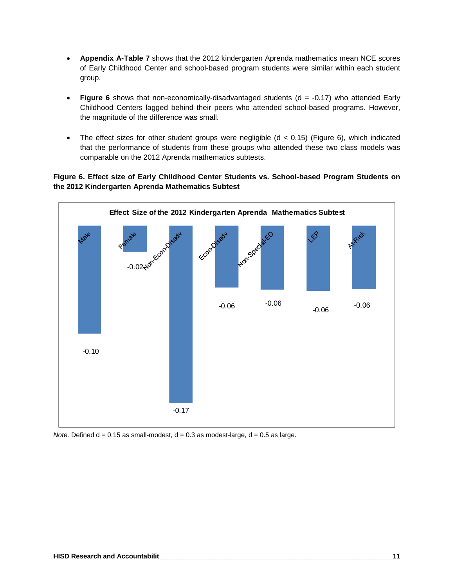- **Appendix A-Table 7** shows that the 2012 kindergarten Aprenda mathematics mean NCE scores of Early Childhood Center and school-based program students were similar within each student group.
- Figure 6 shows that non-economically-disadvantaged students (d = -0.17) who attended Early Childhood Centers lagged behind their peers who attended school-based programs. However, the magnitude of the difference was small.
- The effect sizes for other student groups were negligible  $(d < 0.15)$  (Figure 6), which indicated that the performance of students from these groups who attended these two class models was comparable on the 2012 Aprenda mathematics subtests.

#### **Figure 6. Effect size of Early Childhood Center Students vs. School-based Program Students on the 2012 Kindergarten Aprenda Mathematics Subtest**



*Note.* Defined  $d = 0.15$  as small-modest,  $d = 0.3$  as modest-large,  $d = 0.5$  as large.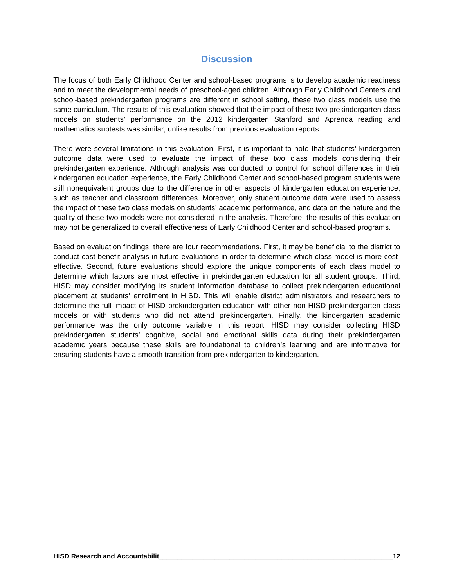## **Discussion**

The focus of both Early Childhood Center and school-based programs is to develop academic readiness and to meet the developmental needs of preschool-aged children. Although Early Childhood Centers and school-based prekindergarten programs are different in school setting, these two class models use the same curriculum. The results of this evaluation showed that the impact of these two prekindergarten class models on students' performance on the 2012 kindergarten Stanford and Aprenda reading and mathematics subtests was similar, unlike results from previous evaluation reports.

There were several limitations in this evaluation. First, it is important to note that students' kindergarten outcome data were used to evaluate the impact of these two class models considering their prekindergarten experience. Although analysis was conducted to control for school differences in their kindergarten education experience, the Early Childhood Center and school-based program students were still nonequivalent groups due to the difference in other aspects of kindergarten education experience, such as teacher and classroom differences. Moreover, only student outcome data were used to assess the impact of these two class models on students' academic performance, and data on the nature and the quality of these two models were not considered in the analysis. Therefore, the results of this evaluation may not be generalized to overall effectiveness of Early Childhood Center and school-based programs.

Based on evaluation findings, there are four recommendations. First, it may be beneficial to the district to conduct cost-benefit analysis in future evaluations in order to determine which class model is more costeffective. Second, future evaluations should explore the unique components of each class model to determine which factors are most effective in prekindergarten education for all student groups. Third, HISD may consider modifying its student information database to collect prekindergarten educational placement at students' enrollment in HISD. This will enable district administrators and researchers to determine the full impact of HISD prekindergarten education with other non-HISD prekindergarten class models or with students who did not attend prekindergarten. Finally, the kindergarten academic performance was the only outcome variable in this report. HISD may consider collecting HISD prekindergarten students' cognitive, social and emotional skills data during their prekindergarten academic years because these skills are foundational to children's learning and are informative for ensuring students have a smooth transition from prekindergarten to kindergarten.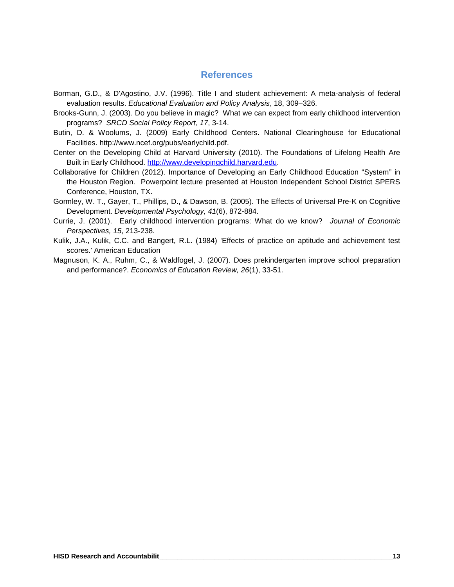## **References**

- Borman, G.D., & D'Agostino, J.V. (1996). Title I and student achievement: A meta-analysis of federal evaluation results. *Educational Evaluation and Policy Analysis*, 18, 309–326.
- Brooks-Gunn, J. (2003). Do you believe in magic? What we can expect from early childhood intervention programs? *SRCD Social Policy Report, 17*, 3-14.
- Butin, D. & Woolums, J. (2009) Early Childhood Centers. National Clearinghouse for Educational Facilities. http://www.ncef.org/pubs/earlychild.pdf.
- Center on the Developing Child at Harvard University (2010). The Foundations of Lifelong Health Are Built in Early Childhood. [http://www.developingchild.harvard.edu.](http://www.developingchild.harvard.edu/)
- Collaborative for Children (2012). Importance of Developing an Early Childhood Education "System" in the Houston Region. Powerpoint lecture presented at Houston Independent School District SPERS Conference, Houston, TX.
- Gormley, W. T., Gayer, T., Phillips, D., & Dawson, B. (2005). The Effects of Universal Pre-K on Cognitive Development. *Developmental Psychology, 41*(6), 872-884.
- Currie, J. (2001). Early childhood intervention programs: What do we know? *Journal of Economic Perspectives, 15*, 213-238.
- Kulik, J.A., Kulik, C.C. and Bangert, R.L. (1984) 'Effects of practice on aptitude and achievement test scores.' American Education
- Magnuson, K. A., Ruhm, C., & Waldfogel, J. (2007). Does prekindergarten improve school preparation and performance?. *Economics of Education Review, 26*(1), 33-51.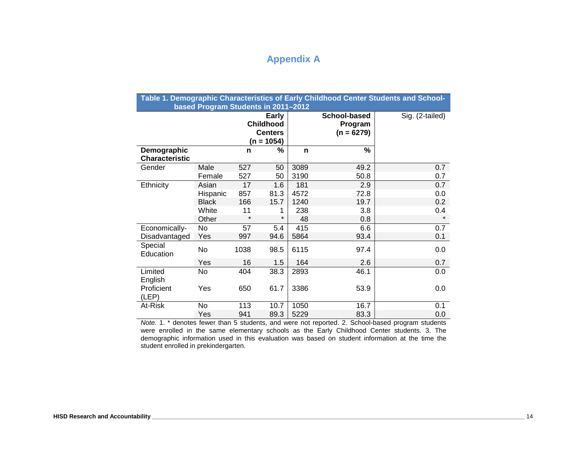## **Appendix A**

|                                      | based Program Students in 2011-2012 |         |                                                             |      |                                         | Table 1. Demographic Characteristics of Early Childhood Center Students and School- |
|--------------------------------------|-------------------------------------|---------|-------------------------------------------------------------|------|-----------------------------------------|-------------------------------------------------------------------------------------|
|                                      |                                     |         | Early<br><b>Childhood</b><br><b>Centers</b><br>$(n = 1054)$ |      | School-based<br>Program<br>$(n = 6279)$ | Sig. (2-tailed)                                                                     |
| Demographic<br><b>Characteristic</b> |                                     | n       | %                                                           | n    | %                                       |                                                                                     |
| Gender                               | Male                                | 527     | 50                                                          | 3089 | 49.2                                    | 0.7                                                                                 |
|                                      | Female                              | 527     | 50                                                          | 3190 | 50.8                                    | 0.7                                                                                 |
| Ethnicity                            | Asian                               | 17      | 1.6                                                         | 181  | 2.9                                     | 0.7                                                                                 |
|                                      | Hispanic                            | 857     | 81.3                                                        | 4572 | 72.8                                    | 0.0                                                                                 |
|                                      | <b>Black</b>                        | 166     | 15.7                                                        | 1240 | 19.7                                    | 0.2                                                                                 |
|                                      | White                               | 11      | 1                                                           | 238  | 3.8                                     | 0.4                                                                                 |
|                                      | Other                               | $\star$ | $\star$                                                     | 48   | 0.8                                     | $\star$                                                                             |
| Economically-                        | No                                  | 57      | 5.4                                                         | 415  | 6.6                                     | 0.7                                                                                 |
| Disadvantaged                        | Yes                                 | 997     | 94.6                                                        | 5864 | 93.4                                    | 0.1                                                                                 |
| Special<br>Education                 | No                                  | 1038    | 98.5                                                        | 6115 | 97.4                                    | 0.0                                                                                 |
| Limited                              | Yes                                 | 16      | 1.5                                                         | 164  | 2.6                                     | 0.7                                                                                 |
| English                              | No                                  | 404     | 38.3                                                        | 2893 | 46.1                                    | 0.0                                                                                 |
| Proficient<br>(LEP)                  | Yes                                 | 650     | 61.7                                                        | 3386 | 53.9                                    | 0.0                                                                                 |
| At-Risk                              | No                                  | 113     | 10.7                                                        | 1050 | 16.7                                    | 0.1                                                                                 |
|                                      | Yes                                 | 941     | 89.3                                                        | 5229 | 83.3                                    | 0.0                                                                                 |

*Note.* 1. \* denotes fewer than 5 students, and were not reported. 2. School-based program students were enrolled in the same elementary schools as the Early Childhood Center students. 3. The demographic information used in this evaluation was based on student information at the time the student enrolled in prekindergarten.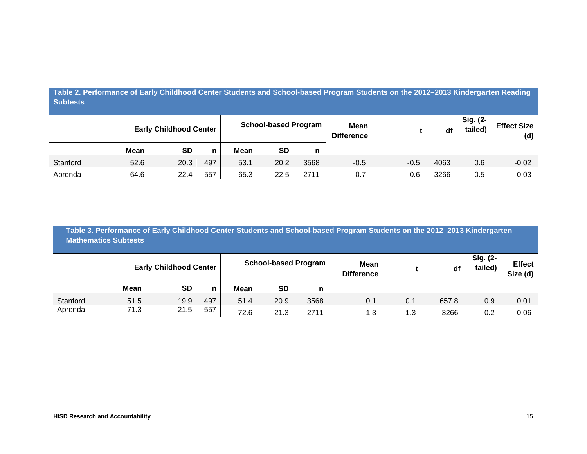## **Table 2. Performance of Early Childhood Center Students and School-based Program Students on the 2012–2013 Kindergarten Reading Subtests**

|          |             | <b>Early Childhood Center</b> |     |      | <b>School-based Program</b> |      | <b>Mean</b><br><b>Difference</b> |        | df   | Sig. (2-<br>tailed) | <b>Effect Size</b><br>(d) |  |
|----------|-------------|-------------------------------|-----|------|-----------------------------|------|----------------------------------|--------|------|---------------------|---------------------------|--|
|          | <b>Mean</b> | <b>SD</b>                     |     | Mean | <b>SD</b>                   |      |                                  |        |      |                     |                           |  |
| Stanford | 52.6        | 20.3                          | 497 | 53.1 | 20.2                        | 3568 | $-0.5$                           | $-0.5$ | 4063 | 0.6                 | $-0.02$                   |  |
| Aprenda  | 64.6        | 22.4                          | 557 | 65.3 | 22.5                        | 2711 | $-0.7$                           | $-0.6$ | 3266 | 0.5                 | $-0.03$                   |  |

| Table 3. Performance of Early Childhood Center Students and School-based Program Students on the 2012-2013 Kindergarten |  |
|-------------------------------------------------------------------------------------------------------------------------|--|
| <b>Mathematics Subtests</b>                                                                                             |  |

|          |      | <b>Early Childhood Center</b> |     |             | <b>School-based Program</b> |      | Mean<br><b>Difference</b> |        | df    | Sig. (2-<br>tailed) | <b>Effect</b><br>Size (d) |
|----------|------|-------------------------------|-----|-------------|-----------------------------|------|---------------------------|--------|-------|---------------------|---------------------------|
|          | Mean | <b>SD</b>                     | n   | <b>Mean</b> | <b>SD</b>                   | n    |                           |        |       |                     |                           |
| Stanford | 51.5 | 19.9                          | 497 | 51.4        | 20.9                        | 3568 | 0.1                       | 0.1    | 657.8 | 0.9                 | 0.01                      |
| Aprenda  | 71.3 | 21.5                          | 557 | 72.6        | 21.3                        | 2711 | -1.3                      | $-1.3$ | 3266  | 0.2                 | $-0.06$                   |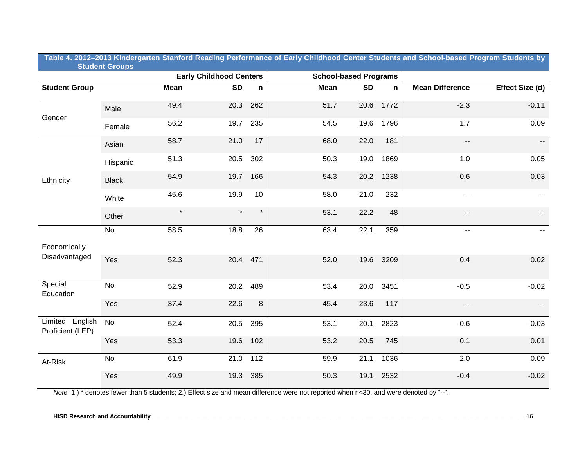|                                     | <b>Student Groups</b> |             |                                |                  |                   |                              |      |                        |                          |
|-------------------------------------|-----------------------|-------------|--------------------------------|------------------|-------------------|------------------------------|------|------------------------|--------------------------|
|                                     |                       |             | <b>Early Childhood Centers</b> |                  |                   | <b>School-based Programs</b> |      |                        |                          |
| <b>Student Group</b>                |                       | <b>Mean</b> | $\overline{SD}$                | n                | Mean              | SD                           | n    | <b>Mean Difference</b> | Effect Size (d)          |
|                                     | Male                  | 49.4        | 20.3                           | 262              | $\overline{51.7}$ | 20.6                         | 1772 | $-2.3$                 | $-0.11$                  |
| Gender                              | Female                | 56.2        | 19.7                           | 235              | 54.5              | 19.6                         | 1796 | 1.7                    | 0.09                     |
|                                     | Asian                 | 58.7        | 21.0                           | 17               | 68.0              | 22.0                         | 181  | $\mathbf{u}$           | $\overline{\phantom{a}}$ |
|                                     | Hispanic              | 51.3        | 20.5                           | 302              | 50.3              | 19.0                         | 1869 | 1.0                    | 0.05                     |
| Ethnicity                           | <b>Black</b>          | 54.9        | 19.7                           | 166              | 54.3              | 20.2                         | 1238 | 0.6                    | 0.03                     |
|                                     | White                 | 45.6        | 19.9                           | 10               | 58.0              | 21.0                         | 232  | --                     |                          |
|                                     | Other                 | $\star$     | $\star$                        | $\star$          | 53.1              | 22.2                         | 48   | $-$                    | $- -$                    |
| Economically                        | $\overline{N}$        | 58.5        | 18.8                           | $\overline{26}$  | 63.4              | 22.1                         | 359  | $\overline{a}$         | $-$                      |
| Disadvantaged                       | Yes                   | 52.3        | 20.4                           | 471              | 52.0              | 19.6                         | 3209 | 0.4                    | 0.02                     |
| Special<br>Education                | <b>No</b>             | 52.9        | 20.2                           | 489              | 53.4              | 20.0                         | 3451 | $-0.5$                 | $-0.02$                  |
|                                     | Yes                   | 37.4        | 22.6                           | $\,8\,$          | 45.4              | 23.6                         | 117  | $\sim$                 | $\overline{\phantom{a}}$ |
| Limited English<br>Proficient (LEP) | <b>No</b>             | 52.4        | 20.5                           | 395              | 53.1              | 20.1                         | 2823 | $-0.6$                 | $-0.03$                  |
|                                     | Yes                   | 53.3        | 19.6                           | 102              | 53.2              | 20.5                         | 745  | 0.1                    | 0.01                     |
| At-Risk                             | $\overline{N}$        | 61.9        | 21.0                           | $\overline{112}$ | 59.9              | 21.1                         | 1036 | $\overline{2.0}$       | 0.09                     |
|                                     | Yes                   | 49.9        | 19.3                           | 385              | 50.3              | 19.1                         | 2532 | $-0.4$                 | $-0.02$                  |

**Table 4. 2012–2013 Kindergarten Stanford Reading Performance of Early Childhood Center Students and School-based Program Students by**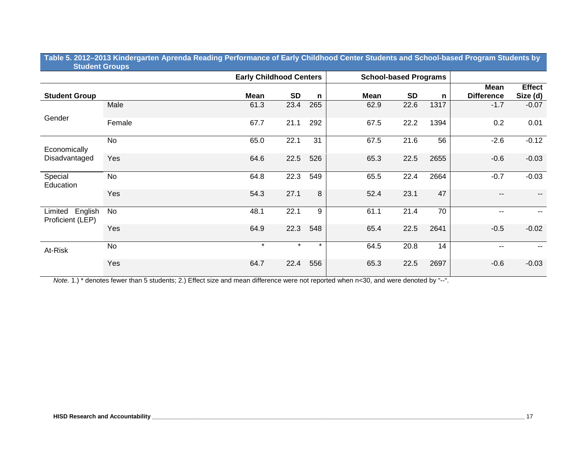**Table 5. 2012–2013 Kindergarten Aprenda Reading Performance of Early Childhood Center Students and School-based Program Students by Student Groups**

|                                        |            |         | <b>Early Childhood Centers</b> |         |             | <b>School-based Programs</b> |      |                                  |                           |
|----------------------------------------|------------|---------|--------------------------------|---------|-------------|------------------------------|------|----------------------------------|---------------------------|
| <b>Student Group</b>                   |            | Mean    | <b>SD</b>                      | n       | <b>Mean</b> | <b>SD</b>                    | n    | <b>Mean</b><br><b>Difference</b> | <b>Effect</b><br>Size (d) |
|                                        | Male       | 61.3    | 23.4                           | 265     | 62.9        | 22.6                         | 1317 | $-1.7$                           | $-0.07$                   |
| Gender                                 | Female     | 67.7    | 21.1                           | 292     | 67.5        | 22.2                         | 1394 | 0.2                              | 0.01                      |
| Economically                           | No         | 65.0    | 22.1                           | 31      | 67.5        | 21.6                         | 56   | $-2.6$                           | $-0.12$                   |
| Disadvantaged                          | Yes        | 64.6    | 22.5                           | 526     | 65.3        | 22.5                         | 2655 | $-0.6$                           | $-0.03$                   |
| Special<br>Education                   | No         | 64.8    | 22.3                           | 549     | 65.5        | 22.4                         | 2664 | $-0.7$                           | $-0.03$                   |
|                                        | <b>Yes</b> | 54.3    | 27.1                           | 8       | 52.4        | 23.1                         | 47   | --                               | $- -$                     |
| English<br>Limited<br>Proficient (LEP) | No         | 48.1    | 22.1                           | 9       | 61.1        | 21.4                         | 70   | --                               |                           |
|                                        | Yes        | 64.9    | 22.3                           | 548     | 65.4        | 22.5                         | 2641 | $-0.5$                           | $-0.02$                   |
| At-Risk                                | No         | $\star$ | $\star$                        | $\star$ | 64.5        | 20.8                         | 14   | $- -$                            |                           |
|                                        | Yes        | 64.7    | 22.4                           | 556     | 65.3        | 22.5                         | 2697 | $-0.6$                           | $-0.03$                   |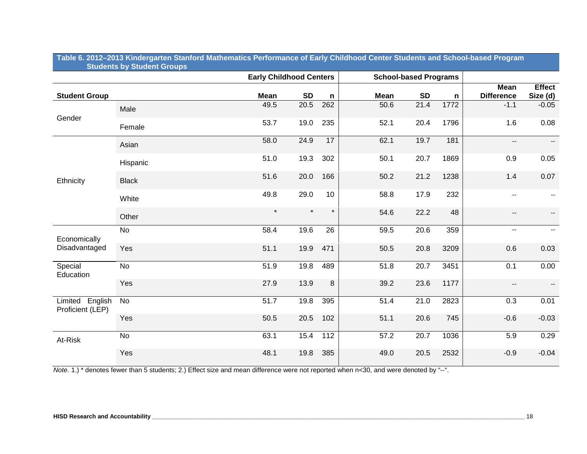| oluuchto by                         | <b>Prancis Albert</b> |             | <b>Early Childhood Centers</b> |                 |             | <b>School-based Programs</b> |              |                                  |                           |
|-------------------------------------|-----------------------|-------------|--------------------------------|-----------------|-------------|------------------------------|--------------|----------------------------------|---------------------------|
| <b>Student Group</b>                |                       | <b>Mean</b> | <b>SD</b>                      | n               | <b>Mean</b> | <b>SD</b>                    | $\mathsf{n}$ | <b>Mean</b><br><b>Difference</b> | <b>Effect</b><br>Size (d) |
| Gender                              | Male                  | 49.5        | 20.5                           | 262             | 50.6        | 21.4                         | 1772         | $-1.1$                           | $-0.05$                   |
|                                     | Female                | 53.7        | 19.0                           | 235             | 52.1        | 20.4                         | 1796         | 1.6                              | 0.08                      |
|                                     | Asian                 | 58.0        | 24.9                           | 17              | 62.1        | 19.7                         | 181          | --                               |                           |
|                                     | Hispanic              | 51.0        | 19.3                           | 302             | 50.1        | 20.7                         | 1869         | 0.9                              | 0.05                      |
| Ethnicity                           | <b>Black</b>          | 51.6        | 20.0                           | 166             | 50.2        | 21.2                         | 1238         | 1.4                              | 0.07                      |
|                                     | White                 | 49.8        | 29.0                           | 10              | 58.8        | 17.9                         | 232          | --                               |                           |
|                                     | Other                 | $\star$     | $\star$                        | $\star$         | 54.6        | 22.2                         | 48           | --                               | $\overline{\phantom{a}}$  |
| Economically                        | <b>No</b>             | 58.4        | 19.6                           | $\overline{26}$ | 59.5        | 20.6                         | 359          | --                               | $\overline{\phantom{a}}$  |
| Disadvantaged                       | Yes                   | 51.1        | 19.9                           | 471             | 50.5        | 20.8                         | 3209         | 0.6                              | 0.03                      |
| Special<br>Education                | <b>No</b>             | 51.9        | 19.8                           | 489             | 51.8        | 20.7                         | 3451         | 0.1                              | 0.00                      |
|                                     | Yes                   | 27.9        | 13.9                           | $\,8\,$         | 39.2        | 23.6                         | 1177         | --                               | $\overline{\phantom{a}}$  |
| Limited English<br>Proficient (LEP) | <b>No</b>             | 51.7        | 19.8                           | 395             | 51.4        | 21.0                         | 2823         | 0.3                              | 0.01                      |
|                                     | Yes                   | 50.5        | 20.5                           | 102             | 51.1        | 20.6                         | 745          | $-0.6$                           | $-0.03$                   |
| At-Risk                             | No                    | 63.1        | 15.4                           | 112             | 57.2        | 20.7                         | 1036         | 5.9                              | 0.29                      |
|                                     | Yes                   | 48.1        | 19.8                           | 385             | 49.0        | 20.5                         | 2532         | $-0.9$                           | $-0.04$                   |

#### **Table 6. 2012–2013 Kindergarten Stanford Mathematics Performance of Early Childhood Center Students and School-based Program Students by Student Groups**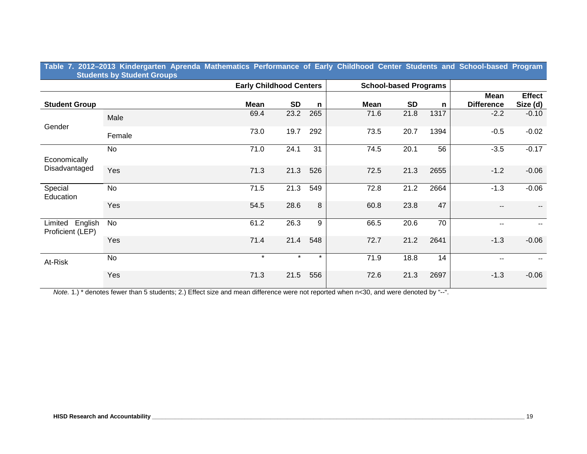|  |                                   |  |  |  |  | Table 7. 2012-2013 Kindergarten Aprenda Mathematics Performance of Early Childhood Center Students and School-based Program |  |
|--|-----------------------------------|--|--|--|--|-----------------------------------------------------------------------------------------------------------------------------|--|
|  | <b>Students by Student Groups</b> |  |  |  |  |                                                                                                                             |  |

|                                        |        | <b>Early Childhood Centers</b> |           |             |             | <b>School-based Programs</b> |              |                                  |                           |
|----------------------------------------|--------|--------------------------------|-----------|-------------|-------------|------------------------------|--------------|----------------------------------|---------------------------|
| <b>Student Group</b>                   |        | Mean                           | <b>SD</b> | $\mathbf n$ | <b>Mean</b> | <b>SD</b>                    | $\mathsf{n}$ | <b>Mean</b><br><b>Difference</b> | <b>Effect</b><br>Size (d) |
|                                        | Male   | 69.4                           | 23.2      | 265         | 71.6        | 21.8                         | 1317         | $-2.2$                           | $-0.10$                   |
| Gender                                 | Female | 73.0                           | 19.7      | 292         | 73.5        | 20.7                         | 1394         | $-0.5$                           | $-0.02$                   |
| Economically                           | No     | 71.0                           | 24.1      | 31          | 74.5        | 20.1                         | 56           | $-3.5$                           | $-0.17$                   |
| Disadvantaged                          | Yes    | 71.3                           | 21.3      | 526         | 72.5        | 21.3                         | 2655         | $-1.2$                           | $-0.06$                   |
| Special<br>Education                   | No     | 71.5                           | 21.3      | 549         | 72.8        | 21.2                         | 2664         | $-1.3$                           | $-0.06$                   |
|                                        | Yes    | 54.5                           | 28.6      | 8           | 60.8        | 23.8                         | 47           | --                               |                           |
| English<br>Limited<br>Proficient (LEP) | No     | 61.2                           | 26.3      | 9           | 66.5        | 20.6                         | 70           | $-$                              |                           |
|                                        | Yes    | 71.4                           | 21.4      | 548         | 72.7        | 21.2                         | 2641         | $-1.3$                           | $-0.06$                   |
| At-Risk                                | No     | $\star$                        | $\star$   | $\star$     | 71.9        | 18.8                         | 14           | $\overline{\phantom{a}}$         |                           |
|                                        | Yes    | 71.3                           | 21.5      | 556         | 72.6        | 21.3                         | 2697         | $-1.3$                           | $-0.06$                   |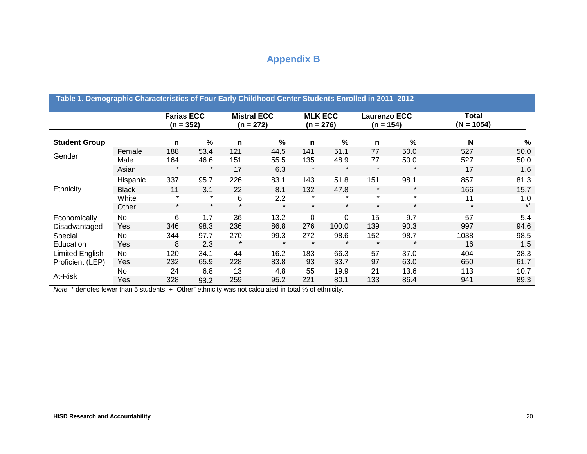# **Appendix B**

|                        |              | <b>Farias ECC</b><br>$(n = 352)$ |         | <b>Mistral ECC</b><br>$(n = 272)$ |               | <b>MLK ECC</b><br>$(n = 276)$ |          | <b>Laurenzo ECC</b><br>$(n = 154)$ |         | <b>Total</b><br>$(N = 1054)$ |                  |
|------------------------|--------------|----------------------------------|---------|-----------------------------------|---------------|-------------------------------|----------|------------------------------------|---------|------------------------------|------------------|
| <b>Student Group</b>   |              | n                                | %       | n                                 | $\frac{9}{6}$ | n                             | %        | n                                  | %       | N                            | $\frac{9}{6}$    |
| Gender                 | Female       | 188                              | 53.4    | 121                               | 44.5          | 141                           | 51.1     | 77                                 | 50.0    | 527                          | 50.0             |
|                        | Male         | 164                              | 46.6    | 151                               | 55.5          | 135                           | 48.9     | 77                                 | 50.0    | 527                          | 50.0             |
|                        | Asian        | $\star$                          | $\star$ | 17                                | 6.3           | $\star$                       | $\star$  | $\star$                            | $\star$ | 17                           | 1.6              |
|                        | Hispanic     | 337                              | 95.7    | 226                               | 83.1          | 143                           | 51.8     | 151                                | 98.1    | 857                          | 81.3             |
| Ethnicity              | <b>Black</b> | 11                               | 3.1     | 22                                | 8.1           | 132                           | 47.8     | $\star$                            | $\star$ | 166                          | 15.7             |
|                        | White        | $\star$                          |         | 6                                 | 2.2           |                               |          | $\star$                            | $\star$ | 11                           | 1.0              |
|                        | Other        | $\star$                          | $\star$ |                                   | $\ast$        | $\star$                       | $\star$  | $\star$                            | $\star$ | $\star$                      | $*$ <sup>+</sup> |
| Economically           | No           | 6                                | 1.7     | 36                                | 13.2          | $\Omega$                      | $\Omega$ | 15                                 | 9.7     | 57                           | 5.4              |
| Disadvantaged          | Yes          | 346                              | 98.3    | 236                               | 86.8          | 276                           | 100.0    | 139                                | 90.3    | 997                          | 94.6             |
| Special                | No           | 344                              | 97.7    | 270                               | 99.3          | 272                           | 98.6     | 152                                | 98.7    | 1038                         | 98.5             |
| Education              | Yes          | 8                                | 2.3     |                                   | $\ast$        |                               |          |                                    | $\star$ | 16                           | 1.5              |
| <b>Limited English</b> | No.          | 120                              | 34.1    | 44                                | 16.2          | 183                           | 66.3     | 57                                 | 37.0    | 404                          | 38.3             |
| Proficient (LEP)       | Yes          | 232                              | 65.9    | 228                               | 83.8          | 93                            | 33.7     | 97                                 | 63.0    | 650                          | 61.7             |
|                        | No           | 24                               | 6.8     | 13                                | 4.8           | 55                            | 19.9     | 21                                 | 13.6    | 113                          | 10.7             |
| At-Risk                | Yes          | 328                              | 93.2    | 259                               | 95.2          | 221                           | 80.1     | 133                                | 86.4    | 941                          | 89.3             |

*Note.* \* denotes fewer than 5 students. + "Other" ethnicity was not calculated in total % of ethnicity.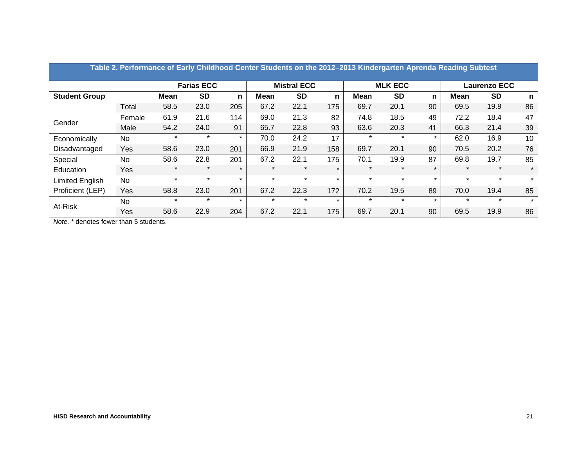|                        |        |         |                   |         |             |                    |         |             | --             |              | .       |                     |         |
|------------------------|--------|---------|-------------------|---------|-------------|--------------------|---------|-------------|----------------|--------------|---------|---------------------|---------|
|                        |        |         | <b>Farias ECC</b> |         |             | <b>Mistral ECC</b> |         |             | <b>MLK ECC</b> |              |         | <b>Laurenzo ECC</b> |         |
| <b>Student Group</b>   |        | Mean    | <b>SD</b>         | n.      | <b>Mean</b> | SD                 | n       | <b>Mean</b> | <b>SD</b>      | $\mathsf{n}$ | Mean    | SD                  | n       |
|                        | Total  | 58.5    | 23.0              | 205     | 67.2        | 22.1               | 175     | 69.7        | 20.1           | 90           | 69.5    | 19.9                | 86      |
| Gender                 | Female | 61.9    | 21.6              | 114     | 69.0        | 21.3               | 82      | 74.8        | 18.5           | 49           | 72.2    | 18.4                | 47      |
|                        | Male   | 54.2    | 24.0              | 91      | 65.7        | 22.8               | 93      | 63.6        | 20.3           | 41           | 66.3    | 21.4                | 39      |
| Economically           | No     | $\star$ | $\star$           | $\star$ | 70.0        | 24.2               | 17      | $\star$     | $\star$        | $\star$      | 62.0    | 16.9                | 10      |
| Disadvantaged          | Yes    | 58.6    | 23.0              | 201     | 66.9        | 21.9               | 158     | 69.7        | 20.1           | 90           | 70.5    | 20.2                | 76      |
| Special                | No     | 58.6    | 22.8              | 201     | 67.2        | 22.1               | 175     | 70.1        | 19.9           | 87           | 69.8    | 19.7                | 85      |
| Education              | Yes    | $\star$ | $\star$           | $\star$ | $\star$     | $\ast$             | $\star$ | $\star$     | $\star$        | $\star$      | $\star$ | $\star$             | $\star$ |
| <b>Limited English</b> | No     | $\star$ | $\star$           | $\star$ | $\star$     | $\star$            | $\star$ | $\star$     | $\star$        | $\star$      | $\star$ | $\star$             | $\star$ |
| Proficient (LEP)       | Yes    | 58.8    | 23.0              | 201     | 67.2        | 22.3               | 172     | 70.2        | 19.5           | 89           | 70.0    | 19.4                | 85      |
| At-Risk                | No     | $\star$ | $\star$           | $\star$ | $\star$     |                    | $\star$ | $\star$     | $\star$        | $\star$      | $\star$ |                     | $\star$ |
|                        | Yes    | 58.6    | 22.9              | 204     | 67.2        | 22.1               | 175     | 69.7        | 20.1           | 90           | 69.5    | 19.9                | 86      |

## **Table 2. Performance of Early Childhood Center Students on the 2012–2013 Kindergarten Aprenda Reading Subtest**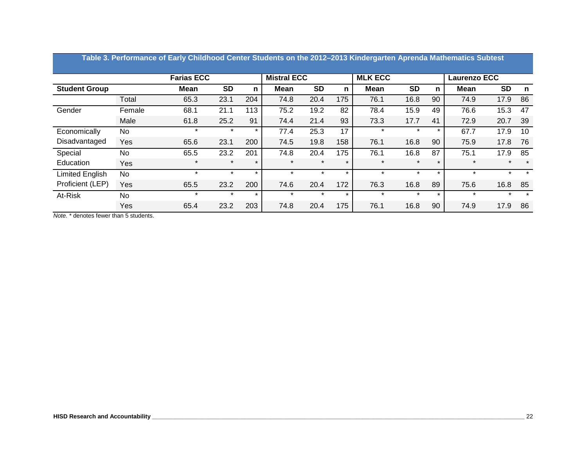|                        |        | Table 3. Performance of Early Childhood Center Students on the 2012–2013 Kindergarten Aprenda Mathematics Subtest |           |         |                    |           |         |                |           |         |                     |           |         |
|------------------------|--------|-------------------------------------------------------------------------------------------------------------------|-----------|---------|--------------------|-----------|---------|----------------|-----------|---------|---------------------|-----------|---------|
|                        |        | <b>Farias ECC</b>                                                                                                 |           |         | <b>Mistral ECC</b> |           |         | <b>MLK ECC</b> |           |         | <b>Laurenzo ECC</b> |           |         |
| <b>Student Group</b>   |        | Mean                                                                                                              | <b>SD</b> | n       | Mean               | <b>SD</b> | n       | Mean           | <b>SD</b> | n       | <b>Mean</b>         | <b>SD</b> | n       |
|                        | Total  | 65.3                                                                                                              | 23.1      | 204     | 74.8               | 20.4      | 175     | 76.1           | 16.8      | 90      | 74.9                | 17.9      | 86      |
| Gender                 | Female | 68.1                                                                                                              | 21.1      | 113     | 75.2               | 19.2      | 82      | 78.4           | 15.9      | 49      | 76.6                | 15.3      | 47      |
|                        | Male   | 61.8                                                                                                              | 25.2      | 91      | 74.4               | 21.4      | 93      | 73.3           | 17.7      | 41      | 72.9                | 20.7      | 39      |
| Economically           | No     | $\star$                                                                                                           | $\star$   | $\star$ | 77.4               | 25.3      | 17      | $\star$        | $\star$   | $\ast$  | 67.7                | 17.9      | 10      |
| Disadvantaged          | Yes    | 65.6                                                                                                              | 23.1      | 200     | 74.5               | 19.8      | 158     | 76.1           | 16.8      | 90      | 75.9                | 17.8      | 76      |
| Special                | No     | 65.5                                                                                                              | 23.2      | 201     | 74.8               | 20.4      | 175     | 76.1           | 16.8      | 87      | 75.1                | 17.9      | 85      |
| Education              | Yes    | $\star$                                                                                                           | $\star$   | $\star$ | $\star$            | $\star$   | $\star$ | $\star$        | $\star$   | $\star$ | $\star$             |           |         |
| <b>Limited English</b> | No.    | $\star$                                                                                                           | $\star$   | $\star$ | $\star$            | $\star$   | $\star$ | $\star$        | $\star$   | $\star$ | $\star$             | $\star$   | $\star$ |
| Proficient (LEP)       | Yes    | 65.5                                                                                                              | 23.2      | 200     | 74.6               | 20.4      | 172     | 76.3           | 16.8      | 89      | 75.6                | 16.8      | 85      |
| At-Risk                | No     | $\star$                                                                                                           | $\star$   | $\star$ | $\star$            | $\star$   | $\star$ | $\star$        | $\star$   | $\star$ | $\star$             | $\star$   | $\star$ |
|                        | Yes    | 65.4                                                                                                              | 23.2      | 203     | 74.8               | 20.4      | 175     | 76.1           | 16.8      | 90      | 74.9                | 17.9      | 86      |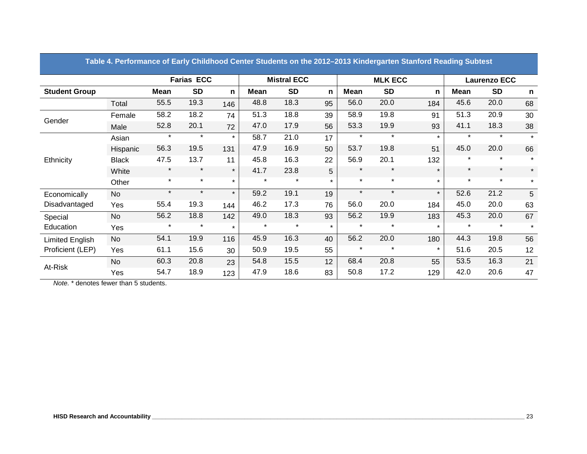| Table 4. Ferrormance of Early Gimunoou Genter Students on the Z012-Z013 Kinderyalten Stamoru Keauing Subtest |              |                   |           |         |                    |           |         |                |           |         |                     |           |         |  |
|--------------------------------------------------------------------------------------------------------------|--------------|-------------------|-----------|---------|--------------------|-----------|---------|----------------|-----------|---------|---------------------|-----------|---------|--|
|                                                                                                              |              | <b>Farias ECC</b> |           |         | <b>Mistral ECC</b> |           |         | <b>MLK ECC</b> |           |         | <b>Laurenzo ECC</b> |           |         |  |
| <b>Student Group</b>                                                                                         |              | <b>Mean</b>       | <b>SD</b> | n       | <b>Mean</b>        | <b>SD</b> | n       | <b>Mean</b>    | <b>SD</b> | n       | Mean                | <b>SD</b> | n       |  |
|                                                                                                              | Total        | 55.5              | 19.3      | 146     | 48.8               | 18.3      | 95      | 56.0           | 20.0      | 184     | 45.6                | 20.0      | 68      |  |
| Gender                                                                                                       | Female       | 58.2              | 18.2      | 74      | 51.3               | 18.8      | 39      | 58.9           | 19.8      | 91      | 51.3                | 20.9      | 30      |  |
|                                                                                                              | Male         | 52.8              | 20.1      | 72      | 47.0               | 17.9      | 56      | 53.3           | 19.9      | 93      | 41.1                | 18.3      | 38      |  |
| Ethnicity                                                                                                    | Asian        | $\star$           | $\star$   | $\star$ | 58.7               | 21.0      | 17      | $\star$        | $\star$   | $\star$ | $\star$             | $\star$   | $\star$ |  |
|                                                                                                              | Hispanic     | 56.3              | 19.5      | 131     | 47.9               | 16.9      | 50      | 53.7           | 19.8      | 51      | 45.0                | 20.0      | 66      |  |
|                                                                                                              | <b>Black</b> | 47.5              | 13.7      | 11      | 45.8               | 16.3      | 22      | 56.9           | 20.1      | 132     | $\star$             | $\star$   | $\star$ |  |
|                                                                                                              | White        | $\star$           | $\star$   | $\star$ | 41.7               | 23.8      | 5       | $\star$        | $\ast$    |         | $\star$             | $\star$   | $\star$ |  |
|                                                                                                              | Other        | $\star$           | $\star$   | $\star$ | $\star$            | $\star$   | $\star$ | $\star$        | $\star$   | $\star$ | $\star$             | $\star$   | $\star$ |  |
| Economically<br>Disadvantaged                                                                                | <b>No</b>    | $\star$           | $\star$   | $\star$ | 59.2               | 19.1      | 19      | $\star$        | $\star$   | $\star$ | 52.6                | 21.2      | 5       |  |
|                                                                                                              | Yes          | 55.4              | 19.3      | 144     | 46.2               | 17.3      | 76      | 56.0           | 20.0      | 184     | 45.0                | 20.0      | 63      |  |
| Special<br>Education                                                                                         | No           | 56.2              | 18.8      | 142     | 49.0               | 18.3      | 93      | 56.2           | 19.9      | 183     | 45.3                | 20.0      | 67      |  |
|                                                                                                              | Yes          | $\star$           | $\star$   | $\star$ | $\star$            | $\star$   | $\star$ | $\star$        | $\star$   | $\star$ | $\star$             | $\star$   | $\star$ |  |
| Limited English<br>Proficient (LEP)                                                                          | <b>No</b>    | 54.1              | 19.9      | 116     | 45.9               | 16.3      | 40      | 56.2           | 20.0      | 180     | 44.3                | 19.8      | 56      |  |
|                                                                                                              | Yes          | 61.1              | 15.6      | 30      | 50.9               | 19.5      | 55      | $\ast$         | $\star$   | $\star$ | 51.6                | 20.5      | 12      |  |
| At-Risk                                                                                                      | No           | 60.3              | 20.8      | 23      | 54.8               | 15.5      | 12      | 68.4           | 20.8      | 55      | 53.5                | 16.3      | 21      |  |
|                                                                                                              | Yes          | 54.7              | 18.9      | 123     | 47.9               | 18.6      | 83      | 50.8           | 17.2      | 129     | 42.0                | 20.6      | 47      |  |

**Table 4. Performance of Early Childhood Center Students on the 2012–2013 Kindergarten Stanford Reading Subtest**